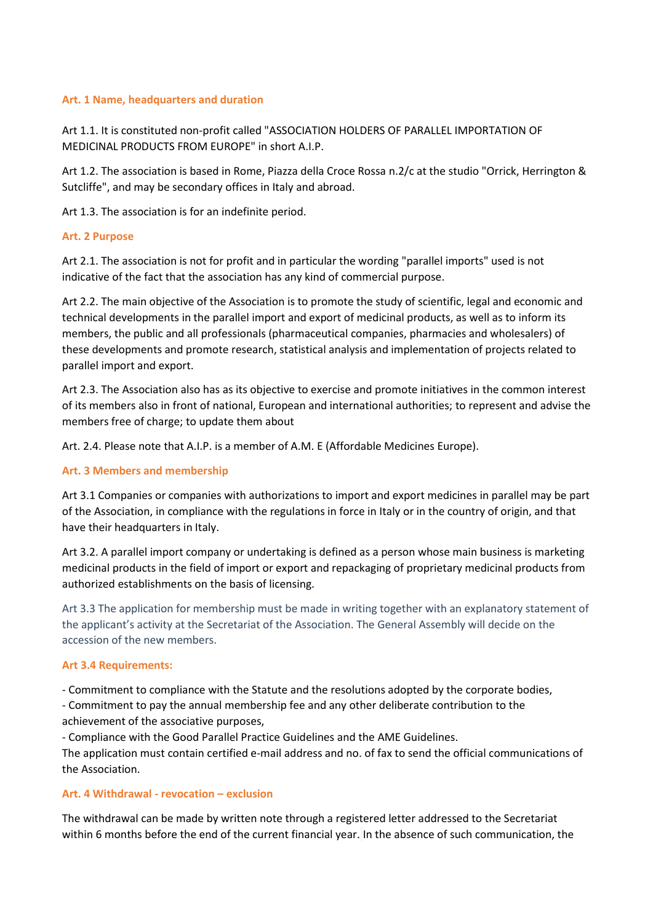### **Art. 1 Name, headquarters and duration**

Art 1.1. It is constituted non-profit called "ASSOCIATION HOLDERS OF PARALLEL IMPORTATION OF MEDICINAL PRODUCTS FROM EUROPE" in short A.I.P.

Art 1.2. The association is based in Rome, Piazza della Croce Rossa n.2/c at the studio "Orrick, Herrington & Sutcliffe", and may be secondary offices in Italy and abroad.

Art 1.3. The association is for an indefinite period.

## **Art. 2 Purpose**

Art 2.1. The association is not for profit and in particular the wording "parallel imports" used is not indicative of the fact that the association has any kind of commercial purpose.

Art 2.2. The main objective of the Association is to promote the study of scientific, legal and economic and technical developments in the parallel import and export of medicinal products, as well as to inform its members, the public and all professionals (pharmaceutical companies, pharmacies and wholesalers) of these developments and promote research, statistical analysis and implementation of projects related to parallel import and export.

Art 2.3. The Association also has as its objective to exercise and promote initiatives in the common interest of its members also in front of national, European and international authorities; to represent and advise the members free of charge; to update them about

Art. 2.4. Please note that A.I.P. is a member of A.M. E (Affordable Medicines Europe).

### **Art. 3 Members and membership**

Art 3.1 Companies or companies with authorizations to import and export medicines in parallel may be part of the Association, in compliance with the regulations in force in Italy or in the country of origin, and that have their headquarters in Italy.

Art 3.2. A parallel import company or undertaking is defined as a person whose main business is marketing medicinal products in the field of import or export and repackaging of proprietary medicinal products from authorized establishments on the basis of licensing.

Art 3.3 The application for membership must be made in writing together with an explanatory statement of the applicant's activity at the Secretariat of the Association. The General Assembly will decide on the accession of the new members.

### **Art 3.4 Requirements:**

- Commitment to compliance with the Statute and the resolutions adopted by the corporate bodies,

- Commitment to pay the annual membership fee and any other deliberate contribution to the achievement of the associative purposes,

- Compliance with the Good Parallel Practice Guidelines and the AME Guidelines.

The application must contain certified e-mail address and no. of fax to send the official communications of the Association.

### **Art. 4 Withdrawal - revocation – exclusion**

The withdrawal can be made by written note through a registered letter addressed to the Secretariat within 6 months before the end of the current financial year. In the absence of such communication, the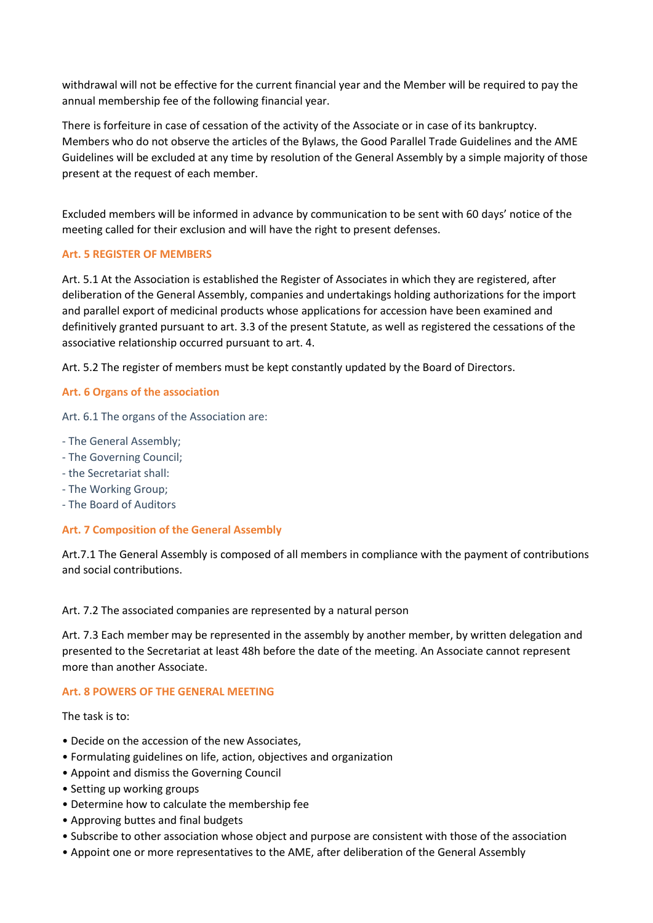withdrawal will not be effective for the current financial year and the Member will be required to pay the annual membership fee of the following financial year.

There is forfeiture in case of cessation of the activity of the Associate or in case of its bankruptcy. Members who do not observe the articles of the Bylaws, the Good Parallel Trade Guidelines and the AME Guidelines will be excluded at any time by resolution of the General Assembly by a simple majority of those present at the request of each member.

Excluded members will be informed in advance by communication to be sent with 60 days' notice of the meeting called for their exclusion and will have the right to present defenses.

# **Art. 5 REGISTER OF MEMBERS**

Art. 5.1 At the Association is established the Register of Associates in which they are registered, after deliberation of the General Assembly, companies and undertakings holding authorizations for the import and parallel export of medicinal products whose applications for accession have been examined and definitively granted pursuant to art. 3.3 of the present Statute, as well as registered the cessations of the associative relationship occurred pursuant to art. 4.

Art. 5.2 The register of members must be kept constantly updated by the Board of Directors.

# **Art. 6 Organs of the association**

Art. 6.1 The organs of the Association are:

- The General Assembly;
- The Governing Council;
- the Secretariat shall:
- The Working Group;
- The Board of Auditors

# **Art. 7 Composition of the General Assembly**

Art.7.1 The General Assembly is composed of all members in compliance with the payment of contributions and social contributions.

Art. 7.2 The associated companies are represented by a natural person

Art. 7.3 Each member may be represented in the assembly by another member, by written delegation and presented to the Secretariat at least 48h before the date of the meeting. An Associate cannot represent more than another Associate.

### **Art. 8 POWERS OF THE GENERAL MEETING**

The task is to:

- Decide on the accession of the new Associates,
- Formulating guidelines on life, action, objectives and organization
- Appoint and dismiss the Governing Council
- Setting up working groups
- Determine how to calculate the membership fee
- Approving buttes and final budgets
- Subscribe to other association whose object and purpose are consistent with those of the association
- Appoint one or more representatives to the AME, after deliberation of the General Assembly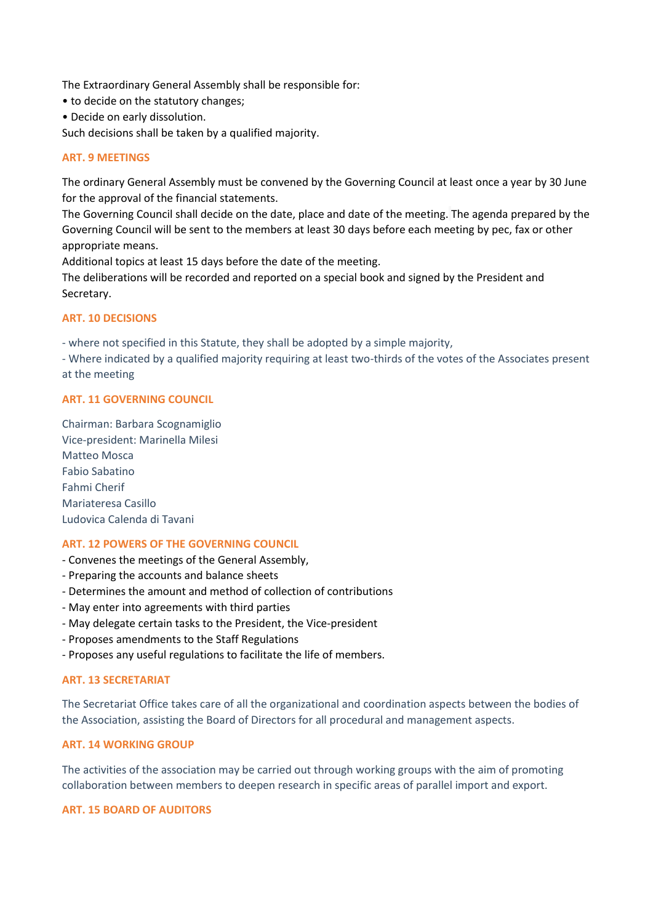The Extraordinary General Assembly shall be responsible for:

- to decide on the statutory changes;
- Decide on early dissolution.

Such decisions shall be taken by a qualified majority.

### **ART. 9 MEETINGS**

The ordinary General Assembly must be convened by the Governing Council at least once a year by 30 June for the approval of the financial statements.

The Governing Council shall decide on the date, place and date of the meeting. The agenda prepared by the Governing Council will be sent to the members at least 30 days before each meeting by pec, fax or other appropriate means.

Additional topics at least 15 days before the date of the meeting.

The deliberations will be recorded and reported on a special book and signed by the President and Secretary.

## **ART. 10 DECISIONS**

- where not specified in this Statute, they shall be adopted by a simple majority,

- Where indicated by a qualified majority requiring at least two-thirds of the votes of the Associates present at the meeting

### **ART. 11 GOVERNING COUNCIL**

Chairman: Barbara Scognamiglio Vice-president: Marinella Milesi Matteo Mosca Fabio Sabatino Fahmi Cherif Mariateresa Casillo Ludovica Calenda di Tavani

# **ART. 12 POWERS OF THE GOVERNING COUNCIL**

- Convenes the meetings of the General Assembly,
- Preparing the accounts and balance sheets
- Determines the amount and method of collection of contributions
- May enter into agreements with third parties
- May delegate certain tasks to the President, the Vice-president
- Proposes amendments to the Staff Regulations
- Proposes any useful regulations to facilitate the life of members.

### **ART. 13 SECRETARIAT**

The Secretariat Office takes care of all the organizational and coordination aspects between the bodies of the Association, assisting the Board of Directors for all procedural and management aspects.

### **ART. 14 WORKING GROUP**

The activities of the association may be carried out through working groups with the aim of promoting collaboration between members to deepen research in specific areas of parallel import and export.

## **ART. 15 BOARD OF AUDITORS**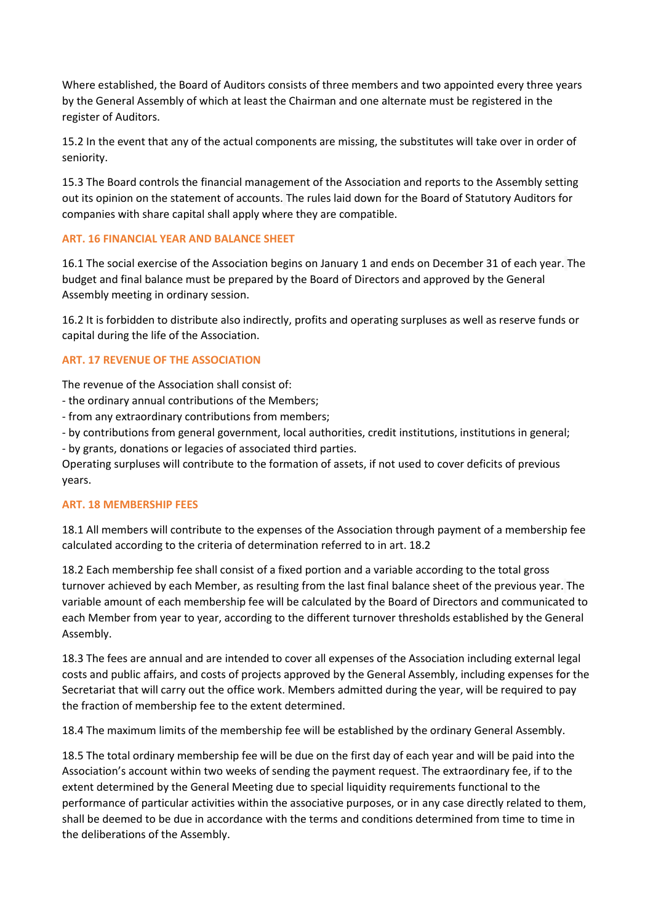Where established, the Board of Auditors consists of three members and two appointed every three years by the General Assembly of which at least the Chairman and one alternate must be registered in the register of Auditors.

15.2 In the event that any of the actual components are missing, the substitutes will take over in order of seniority.

15.3 The Board controls the financial management of the Association and reports to the Assembly setting out its opinion on the statement of accounts. The rules laid down for the Board of Statutory Auditors for companies with share capital shall apply where they are compatible.

# **ART. 16 FINANCIAL YEAR AND BALANCE SHEET**

16.1 The social exercise of the Association begins on January 1 and ends on December 31 of each year. The budget and final balance must be prepared by the Board of Directors and approved by the General Assembly meeting in ordinary session.

16.2 It is forbidden to distribute also indirectly, profits and operating surpluses as well as reserve funds or capital during the life of the Association.

# **ART. 17 REVENUE OF THE ASSOCIATION**

The revenue of the Association shall consist of:

- the ordinary annual contributions of the Members;
- from any extraordinary contributions from members;
- by contributions from general government, local authorities, credit institutions, institutions in general;

- by grants, donations or legacies of associated third parties.

Operating surpluses will contribute to the formation of assets, if not used to cover deficits of previous years.

### **ART. 18 MEMBERSHIP FEES**

18.1 All members will contribute to the expenses of the Association through payment of a membership fee calculated according to the criteria of determination referred to in art. 18.2

18.2 Each membership fee shall consist of a fixed portion and a variable according to the total gross turnover achieved by each Member, as resulting from the last final balance sheet of the previous year. The variable amount of each membership fee will be calculated by the Board of Directors and communicated to each Member from year to year, according to the different turnover thresholds established by the General Assembly.

18.3 The fees are annual and are intended to cover all expenses of the Association including external legal costs and public affairs, and costs of projects approved by the General Assembly, including expenses for the Secretariat that will carry out the office work. Members admitted during the year, will be required to pay the fraction of membership fee to the extent determined.

18.4 The maximum limits of the membership fee will be established by the ordinary General Assembly.

18.5 The total ordinary membership fee will be due on the first day of each year and will be paid into the Association's account within two weeks of sending the payment request. The extraordinary fee, if to the extent determined by the General Meeting due to special liquidity requirements functional to the performance of particular activities within the associative purposes, or in any case directly related to them, shall be deemed to be due in accordance with the terms and conditions determined from time to time in the deliberations of the Assembly.